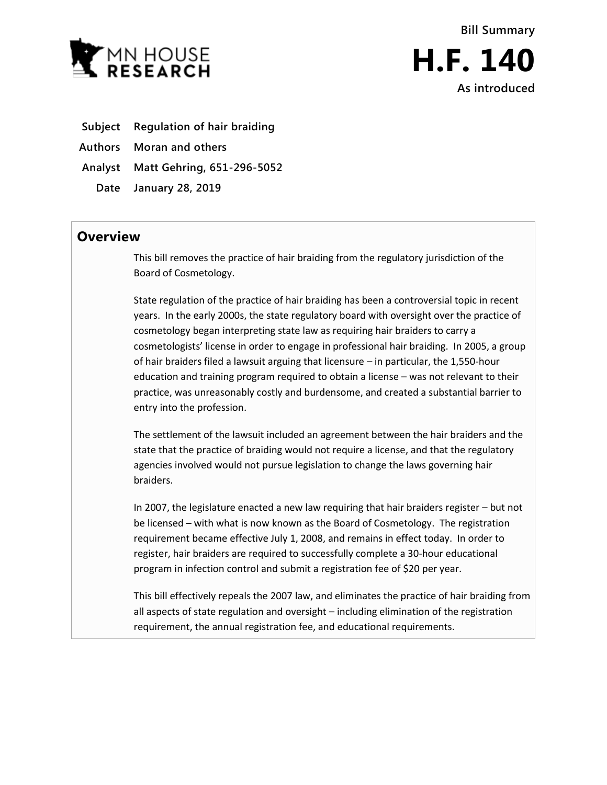

- **Subject Regulation of hair braiding**
- **Authors Moran and others**
- **Analyst Matt Gehring, 651-296-5052**
	- **Date January 28, 2019**

## **Overview**

This bill removes the practice of hair braiding from the regulatory jurisdiction of the Board of Cosmetology.

State regulation of the practice of hair braiding has been a controversial topic in recent years. In the early 2000s, the state regulatory board with oversight over the practice of cosmetology began interpreting state law as requiring hair braiders to carry a cosmetologists' license in order to engage in professional hair braiding. In 2005, a group of hair braiders filed a lawsuit arguing that licensure – in particular, the 1,550-hour education and training program required to obtain a license – was not relevant to their practice, was unreasonably costly and burdensome, and created a substantial barrier to entry into the profession.

The settlement of the lawsuit included an agreement between the hair braiders and the state that the practice of braiding would not require a license, and that the regulatory agencies involved would not pursue legislation to change the laws governing hair braiders.

In 2007, the legislature enacted a new law requiring that hair braiders register – but not be licensed – with what is now known as the Board of Cosmetology. The registration requirement became effective July 1, 2008, and remains in effect today. In order to register, hair braiders are required to successfully complete a 30-hour educational program in infection control and submit a registration fee of \$20 per year.

This bill effectively repeals the 2007 law, and eliminates the practice of hair braiding from all aspects of state regulation and oversight – including elimination of the registration requirement, the annual registration fee, and educational requirements.